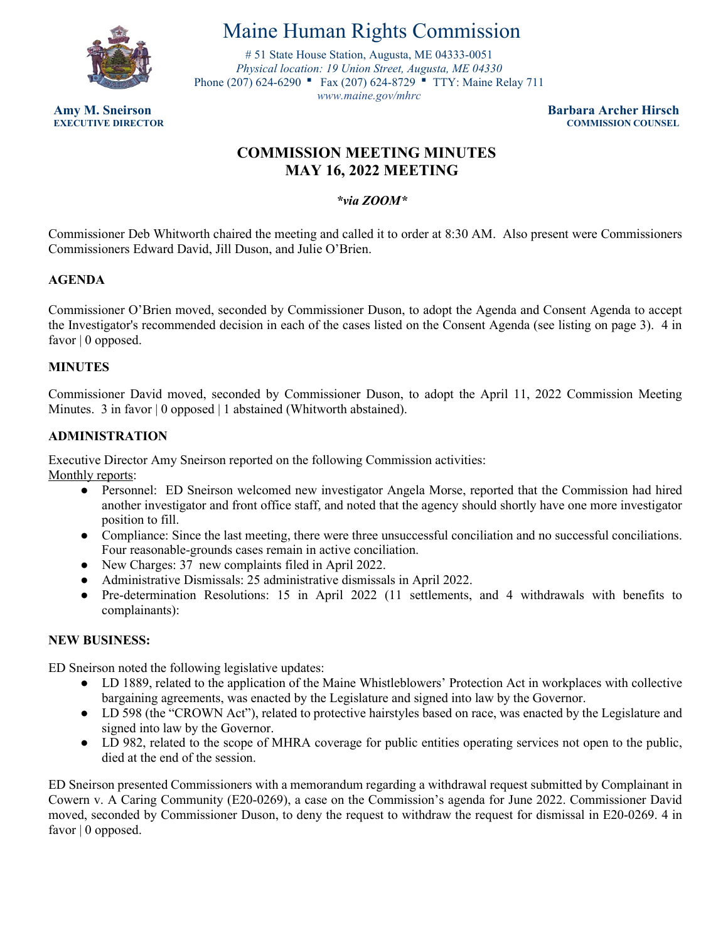

# Maine Human Rights Commission

 Phone (207) 624-6290 ■ Fax (207) 624-8729 ■ TTY: Maine Relay 711 # 51 State House Station, Augusta, ME 04333-0051 *Physical location: 19 Union Street, Augusta, ME 04330 [www.maine.gov/mhr](www.maine.gov/mhrc)[c](http://www.maine.gov/mhrc)* 

**Amy M. Sneirson Barbara Archer Hirsch COMMISSION COUNSEL** 

# **COMMISSION MEETING MINUTES MAY 16, 2022 MEETING**

# *\*via ZOOM\**

 Commissioner Deb Whitworth chaired the meeting and called it to order at 8:30 AM. Also present were Commissioners Commissioners Edward David, Jill Duson, and Julie O'Brien.

# **AGENDA**

 Commissioner O'Brien moved, seconded by Commissioner Duson, to adopt the Agenda and Consent Agenda to accept the Investigator's recommended decision in each of the cases listed on the Consent Agenda (see listing on page 3). 4 in favor | 0 opposed.

## **MINUTES**

Commissioner David moved, seconded by Commissioner Duson, to adopt the April 11, 2022 Commission Meeting Minutes. 3 in favor | 0 opposed | 1 abstained (Whitworth abstained).

## **ADMINISTRATION**

Executive Director Amy Sneirson reported on the following Commission activities:

Monthly reports:

- ● Personnel: ED Sneirson welcomed new investigator Angela Morse, reported that the Commission had hired another investigator and front office staff, and noted that the agency should shortly have one more investigator position to fill.
- Compliance: Since the last meeting, there were three unsuccessful conciliation and no successful conciliations. Four reasonable-grounds cases remain in active conciliation.
- New Charges: 37 new complaints filed in April 2022.
- Administrative Dismissals: 25 administrative dismissals in April 2022.
- Pre-determination Resolutions: 15 in April 2022 (11 settlements, and 4 withdrawals with benefits to complainants):

## **NEW BUSINESS:**

ED Sneirson noted the following legislative updates:

- ● LD 1889, related to the application of the Maine Whistleblowers' Protection Act in workplaces with collective bargaining agreements, was enacted by the Legislature and signed into law by the Governor.
- LD 598 (the "CROWN Act"), related to protective hairstyles based on race, was enacted by the Legislature and signed into law by the Governor.
- ● LD 982, related to the scope of MHRA coverage for public entities operating services not open to the public, died at the end of the session.

 moved, seconded by Commissioner Duson, to deny the request to withdraw the request for dismissal in E20-0269. 4 in ED Sneirson presented Commissioners with a memorandum regarding a withdrawal request submitted by Complainant in Cowern v. A Caring Community (E20-0269), a case on the Commission's agenda for June 2022. Commissioner David favor | 0 opposed.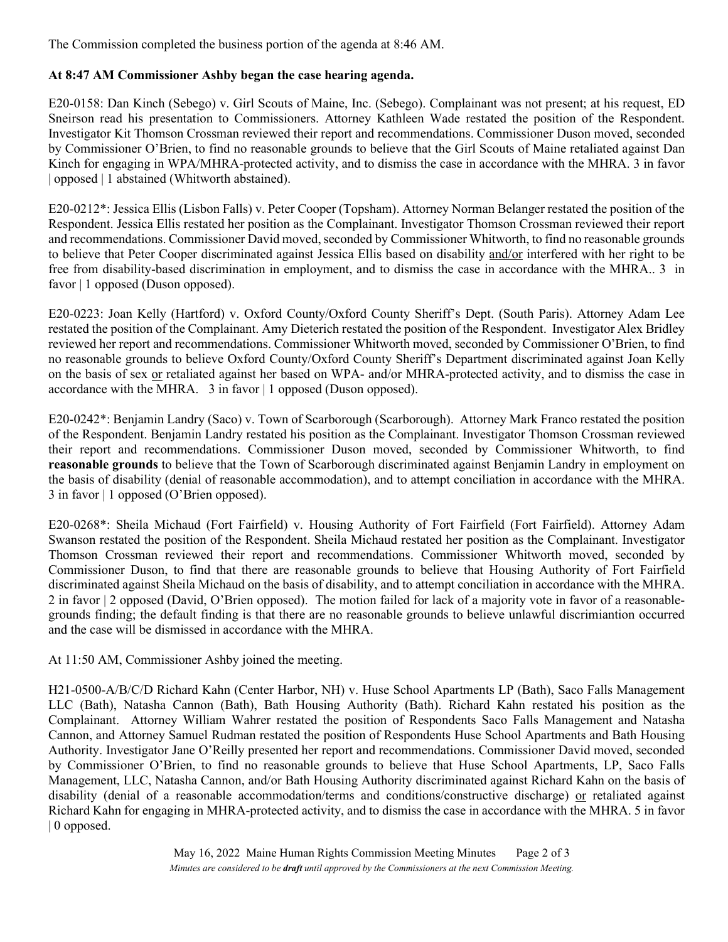The Commission completed the business portion of the agenda at 8:46 AM.

#### **At 8:47 AM Commissioner Ashby began the case hearing agenda.**

 Investigator Kit Thomson Crossman reviewed their report and recommendations. Commissioner Duson moved, seconded by Commissioner O'Brien, to find no reasonable grounds to believe that the Girl Scouts of Maine retaliated against Dan E20-0158: Dan Kinch (Sebego) v. Girl Scouts of Maine, Inc. (Sebego). Complainant was not present; at his request, ED Sneirson read his presentation to Commissioners. Attorney Kathleen Wade restated the position of the Respondent. Kinch for engaging in WPA/MHRA-protected activity, and to dismiss the case in accordance with the MHRA. 3 in favor | opposed | 1 abstained (Whitworth abstained).

to believe that Peter Cooper discriminated against Jessica Ellis based on disability and/or interfered with her right to be E20-0212\*: Jessica Ellis (Lisbon Falls) v. Peter Cooper (Topsham). Attorney Norman Belanger restated the position of the Respondent. Jessica Ellis restated her position as the Complainant. Investigator Thomson Crossman reviewed their report and recommendations. Commissioner David moved, seconded by Commissioner Whitworth, to find no reasonable grounds free from disability-based discrimination in employment, and to dismiss the case in accordance with the MHRA.. 3 in favor | 1 opposed (Duson opposed).

 restated the position of the Complainant. Amy Dieterich restated the position of the Respondent. Investigator Alex Bridley on the basis of sex or retaliated against her based on WPA- and/or MHRA-protected activity, and to dismiss the case in E20-0223: Joan Kelly (Hartford) v. Oxford County/Oxford County Sheriff's Dept. (South Paris). Attorney Adam Lee reviewed her report and recommendations. Commissioner Whitworth moved, seconded by Commissioner O'Brien, to find no reasonable grounds to believe Oxford County/Oxford County Sheriff's Department discriminated against Joan Kelly accordance with the MHRA. 3 in favor | 1 opposed (Duson opposed).

 **reasonable grounds** to believe that the Town of Scarborough discriminated against Benjamin Landry in employment on the basis of disability (denial of reasonable accommodation), and to attempt conciliation in accordance with the MHRA. E20-0242\*: Benjamin Landry (Saco) v. Town of Scarborough (Scarborough). Attorney Mark Franco restated the position of the Respondent. Benjamin Landry restated his position as the Complainant. Investigator Thomson Crossman reviewed their report and recommendations. Commissioner Duson moved, seconded by Commissioner Whitworth, to find 3 in favor | 1 opposed (O'Brien opposed).

 Commissioner Duson, to find that there are reasonable grounds to believe that Housing Authority of Fort Fairfield discriminated against Sheila Michaud on the basis of disability, and to attempt conciliation in accordance with the MHRA. grounds finding; the default finding is that there are no reasonable grounds to believe unlawful discrimiantion occurred E20-0268\*: Sheila Michaud (Fort Fairfield) v. Housing Authority of Fort Fairfield (Fort Fairfield). Attorney Adam Swanson restated the position of the Respondent. Sheila Michaud restated her position as the Complainant. Investigator Thomson Crossman reviewed their report and recommendations. Commissioner Whitworth moved, seconded by 2 in favor 2 opposed (David, O'Brien opposed). The motion failed for lack of a majority vote in favor of a reasonableand the case will be dismissed in accordance with the MHRA.

At 11:50 AM, Commissioner Ashby joined the meeting.

 H21-0500-A/B/C/D Richard Kahn (Center Harbor, NH) v. Huse School Apartments LP (Bath), Saco Falls Management LLC (Bath), Natasha Cannon (Bath), Bath Housing Authority (Bath). Richard Kahn restated his position as the Complainant. Attorney William Wahrer restated the position of Respondents Saco Falls Management and Natasha Cannon, and Attorney Samuel Rudman restated the position of Respondents Huse School Apartments and Bath Housing Authority. Investigator Jane O'Reilly presented her report and recommendations. Commissioner David moved, seconded by Commissioner O'Brien, to find no reasonable grounds to believe that Huse School Apartments, LP, Saco Falls Management, LLC, Natasha Cannon, and/or Bath Housing Authority discriminated against Richard Kahn on the basis of disability (denial of a reasonable accommodation/terms and conditions/constructive discharge) or retaliated against Richard Kahn for engaging in MHRA-protected activity, and to dismiss the case in accordance with the MHRA. 5 in favor | 0 opposed.